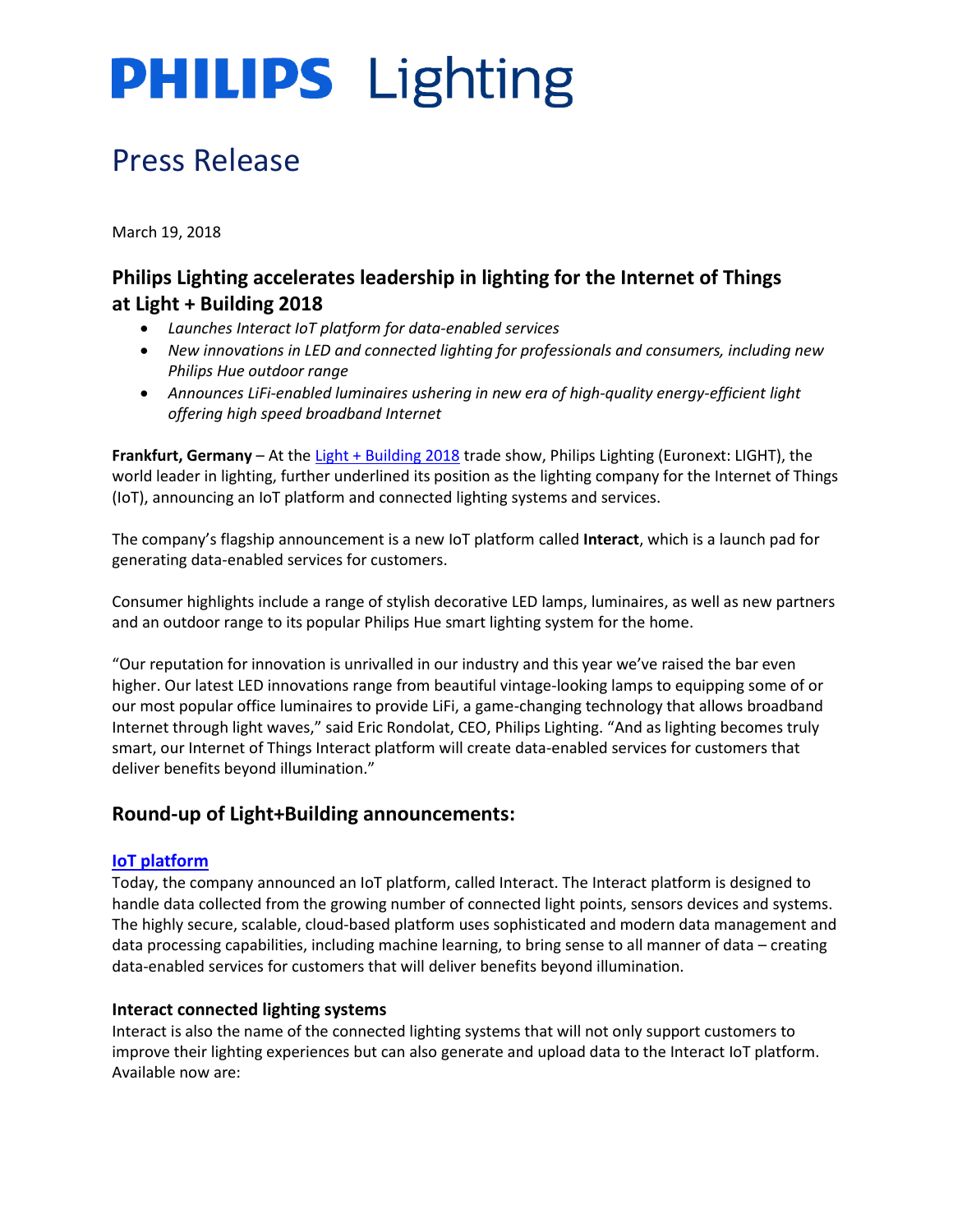### Press Release

March 19, 2018

### **Philips Lighting accelerates leadership in lighting for the Internet of Things at Light + Building 2018**

- *Launches Interact IoT platform for data-enabled services*
- *New innovations in LED and connected lighting for professionals and consumers, including new Philips Hue outdoor range*
- *Announces LiFi-enabled luminaires ushering in new era of high-quality energy-efficient light offering high speed broadband Internet*

**Frankfurt, Germany** – At the [Light + Building 2018](https://light-building.messefrankfurt.com/frankfurt/en.html) trade show, Philips Lighting (Euronext: LIGHT), the world leader in lighting, further underlined its position as the lighting company for the Internet of Things (IoT), announcing an IoT platform and connected lighting systems and services.

The company's flagship announcement is a new IoT platform called **Interact**, which is a launch pad for generating data-enabled services for customers.

Consumer highlights include a range of stylish decorative LED lamps, luminaires, as well as new partners and an outdoor range to its popular Philips Hue smart lighting system for the home.

"Our reputation for innovation is unrivalled in our industry and this year we've raised the bar even higher. Our latest LED innovations range from beautiful vintage-looking lamps to equipping some of or our most popular office luminaires to provide LiFi, a game-changing technology that allows broadband Internet through light waves," said Eric Rondolat, CEO, Philips Lighting. "And as lighting becomes truly smart, our Internet of Things Interact platform will create data-enabled services for customers that deliver benefits beyond illumination."

### **Round-up of Light+Building announcements:**

#### **[IoT platform](http://www.newsroom.lighting.philips.com/news/2018/20180319-philips-lighting-underlines-leadership-in-lighting-for-the-internet-of-things-with-new-iot-platform)**

Today, the company announced an IoT platform, called Interact. The Interact platform is designed to handle data collected from the growing number of connected light points, sensors devices and systems. The highly secure, scalable, cloud-based platform uses sophisticated and modern data management and data processing capabilities, including machine learning, to bring sense to all manner of data – creating data-enabled services for customers that will deliver benefits beyond illumination.

#### **Interact connected lighting systems**

Interact is also the name of the connected lighting systems that will not only support customers to improve their lighting experiences but can also generate and upload data to the Interact IoT platform. Available now are: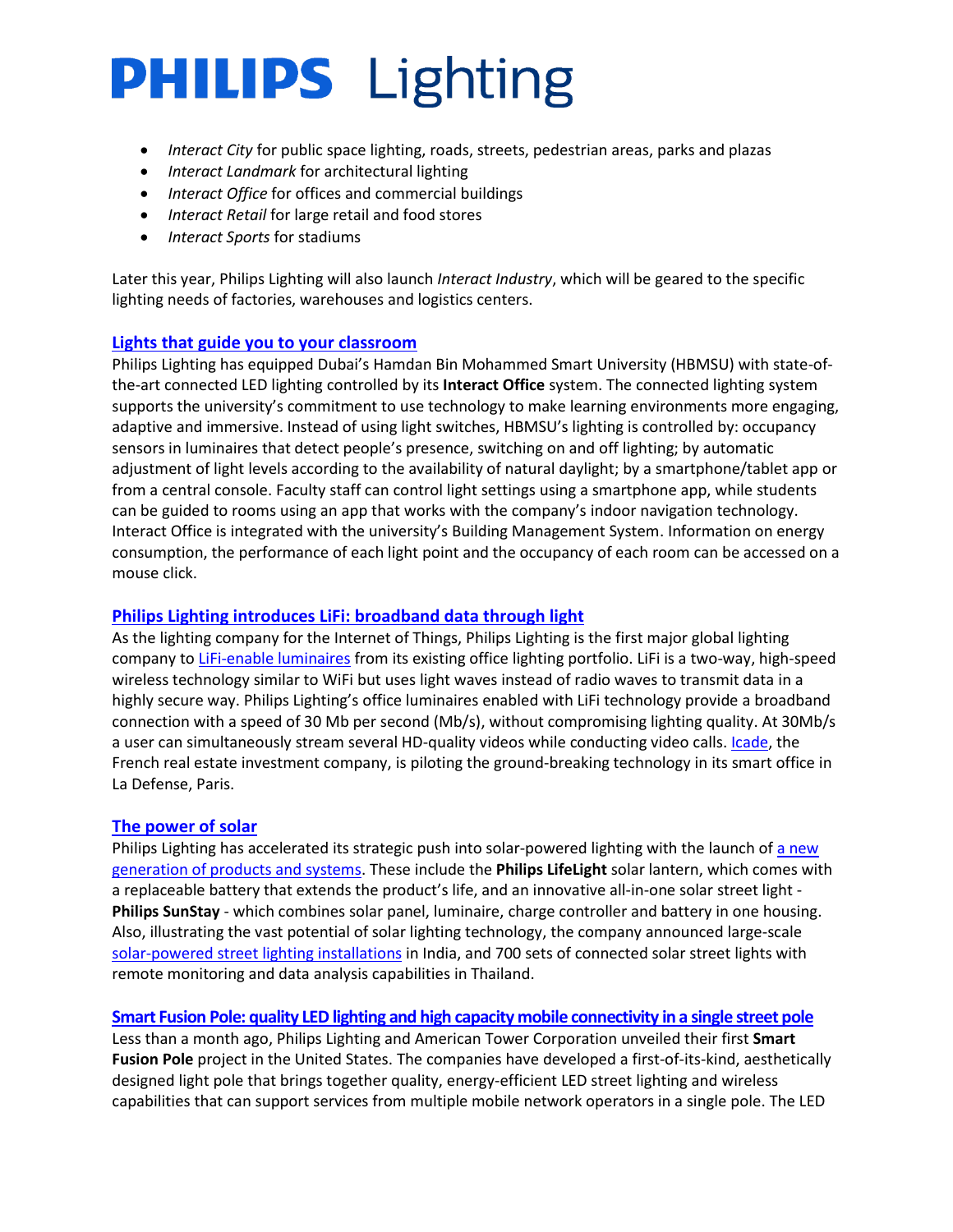- *Interact City* for public space lighting, roads, streets, pedestrian areas, parks and plazas
- *Interact Landmark* for architectural lighting
- *Interact Office* for offices and commercial buildings
- *Interact Retail* for large retail and food stores
- *Interact Sports* for stadiums

Later this year, Philips Lighting will also launch *Interact Industry*, which will be geared to the specific lighting needs of factories, warehouses and logistics centers.

#### **[Lights that guide you to your classroom](http://www.newsroom.lighting.philips.com/news/2018/20180319-state-of-the-art-lighting-controlled-by-interact-office-at-hbsmu)**

Philips Lighting has equipped Dubai's Hamdan Bin Mohammed Smart University (HBMSU) with state-ofthe-art connected LED lighting controlled by its **Interact Office** system. The connected lighting system supports the university's commitment to use technology to make learning environments more engaging, adaptive and immersive. Instead of using light switches, HBMSU's lighting is controlled by: occupancy sensors in luminaires that detect people's presence, switching on and off lighting; by automatic adjustment of light levels according to the availability of natural daylight; by a smartphone/tablet app or from a central console. Faculty staff can control light settings using a smartphone app, while students can be guided to rooms using an app that works with the company's indoor navigation technology. Interact Office is integrated with the university's Building Management System. Information on energy consumption, the performance of each light point and the occupancy of each room can be accessed on a mouse click.

#### **Philips Lighting [introduces LiFi: broadband data through light](http://www.newsroom.lighting.philips.com/news/2018/20180316-philips-lighting-introduces-lifi-broadband-data-through-light)**

As the lighting company for the Internet of Things, Philips Lighting is the first major global lighting company t[o LiFi-enable luminaires](http://www.newsroom.lighting.philips.com/news/2018/20180316-philips-lighting-introduces-lifi-broadband-data-through-light) from its existing office lighting portfolio. LiFi is a two-way, high-speed wireless technology similar to WiFi but uses light waves instead of radio waves to transmit data in a highly secure way. Philips Lighting's office luminaires enabled with LiFi technology provide a broadband connection with a speed of 30 Mb per second (Mb/s), without compromising lighting quality. At 30Mb/s a user can simultaneously stream several HD-quality videos while conducting video calls. *Icade*, the French real estate investment company, is piloting the ground-breaking technology in its smart office in La Defense, Paris.

#### **[The power of solar](http://www.newsroom.lighting.philips.com/news/2018/20180314-philips-lighting-accelerates-strategic-push-into-solar-powered-lighting-with-new-products-and-systems-and-large-scale-street-lighting-projects-in-india-and-thailand)**

Philips Lighting has accelerated its strategic push into solar-powered lighting with the launch of [a new](http://www.newsroom.lighting.philips.com/news/2018/20180314-philips-lighting-accelerates-strategic-push-into-solar-powered-lighting-with-new-products-and-systems-and-large-scale-street-lighting-projects-in-india-and-thailand)  [generation of products and systems.](http://www.newsroom.lighting.philips.com/news/2018/20180314-philips-lighting-accelerates-strategic-push-into-solar-powered-lighting-with-new-products-and-systems-and-large-scale-street-lighting-projects-in-india-and-thailand) These include the **Philips LifeLight** solar lantern, which comes with a replaceable battery that extends the product's life, and an innovative all-in-one solar street light - **Philips SunStay** - which combines solar panel, luminaire, charge controller and battery in one housing. Also, illustrating the vast potential of solar lighting technology, the company announced large-scale [solar-powered street lighting](http://www.lighting.philips.com/main/products/solar) installations in India, and 700 sets of connected solar street lights with remote monitoring and data analysis capabilities in Thailand.

#### **Smart Fusion Pole: quality LED lighting and high capacity [mobile connectivity in a single street pole](http://www.newsroom.lighting.philips.com/news/2018/20180226-philips-lighting-and-atc-deliver-smart-fusion-pole-for-city-of-huntington-beach)**

Less than a month ago, Philips Lighting and American Tower Corporation unveiled their first **Smart Fusion Pole** project in the United States. The companies have developed a first-of-its-kind, aesthetically designed light pole that brings together quality, energy-efficient LED street lighting and wireless capabilities that can support services from multiple mobile network operators in a single pole. The LED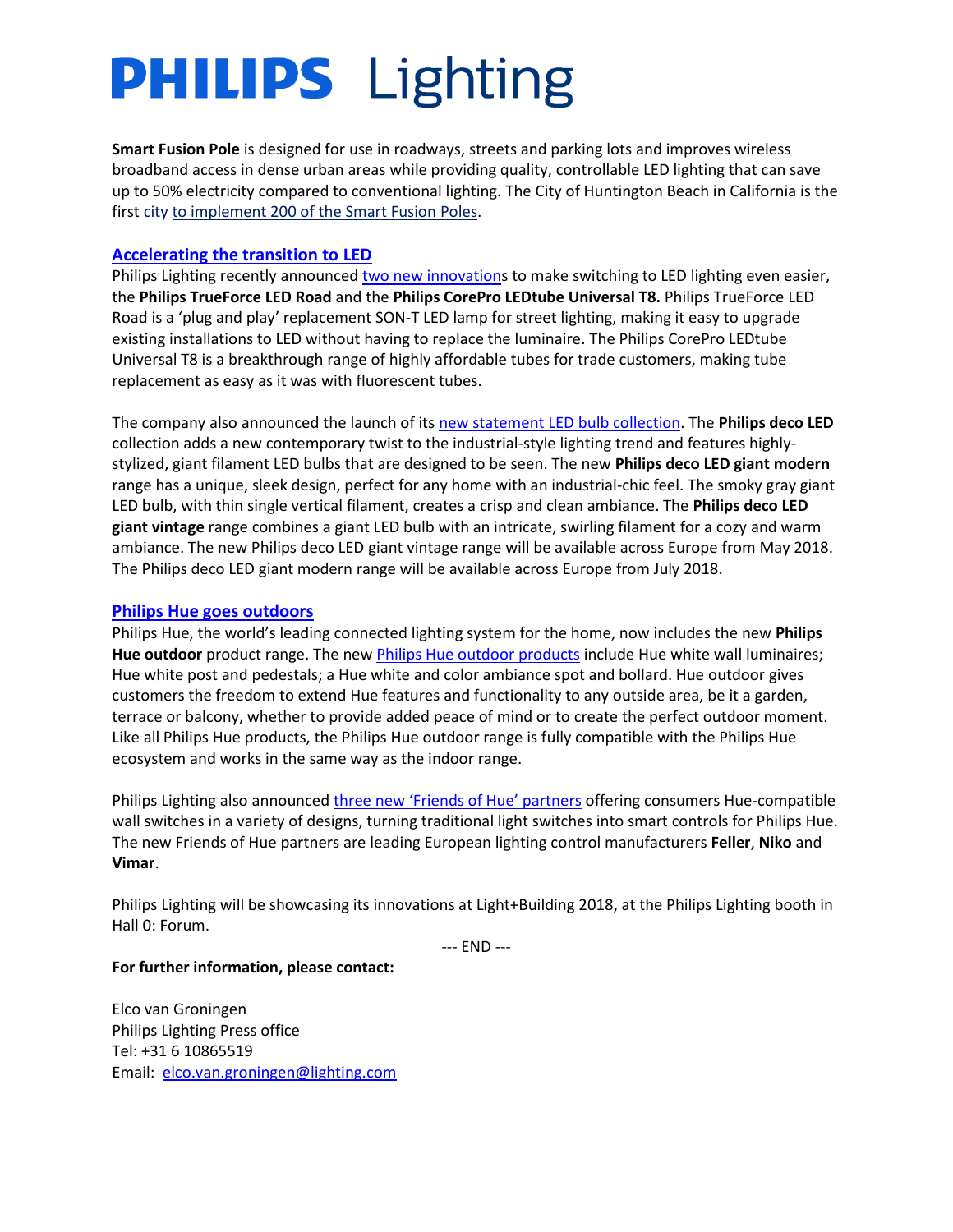**Smart Fusion Pole** is designed for use in roadways, streets and parking lots and improves wireless broadband access in dense urban areas while providing quality, controllable LED lighting that can save up to 50% electricity compared to conventional lighting. The City of Huntington Beach in California is the first cit[y to implement 200 of the Smart Fusion Poles.](http://www.newsroom.lighting.philips.com/news/2018/20180226-philips-lighting-and-atc-deliver-smart-fusion-pole-for-city-of-huntington-beach)

#### **[Accelerating the transition to LED](http://www.newsroom.lighting.philips.com/news/2018/20180313-philips-lightings-new-innovations-make-switching-to-led-lighting-even-easier)**

Philips Lighting recently announced [two new innovations](http://www.newsroom.lighting.philips.com/news/2018/20180313-philips-lightings-new-innovations-make-switching-to-led-lighting-even-easier) to make switching to LED lighting even easier, the **Philips TrueForce LED Road** and the **Philips CorePro LEDtube Universal T8.** Philips TrueForce LED Road is a 'plug and play' replacement SON-T LED lamp for street lighting, making it easy to upgrade existing installations to LED without having to replace the luminaire. The Philips CorePro LEDtube Universal T8 is a breakthrough range of highly affordable tubes for trade customers, making tube replacement as easy as it was with fluorescent tubes.

The company also announced the launch of its [new statement LED bulb collection.](http://www.newsroom.lighting.philips.com/news/2018/20180308-step-out-of-the-shade-with-the-new-giant-filament-led-bulbs-that-look-too-good-to-be-covered-up) The **Philips deco LED** collection adds a new contemporary twist to the industrial-style lighting trend and features highlystylized, giant filament LED bulbs that are designed to be seen. The new **Philips deco LED giant modern**  range has a unique, sleek design, perfect for any home with an industrial-chic feel. The smoky gray giant LED bulb, with thin single vertical filament, creates a crisp and clean ambiance. The **Philips deco LED giant vintage** range combines a giant LED bulb with an intricate, swirling filament for a cozy and warm ambiance. The new Philips deco LED giant vintage range will be available across Europe from May 2018. The Philips deco LED giant modern range will be available across Europe from July 2018.

#### **[Philips Hue goes outdoors](http://www.newsroom.lighting.philips.com/news/2018/20180312-extend-your-smart-lighting-system-this-summer-with-the-new-philips-hue-outdoor-range)**

Philips Hue, the world's leading connected lighting system for the home, now includes the new **Philips Hue outdoor** product range. The new [Philips Hue outdoor products](http://www.newsroom.lighting.philips.com/news/2018/20180312-extend-your-smart-lighting-system-this-summer-with-the-new-philips-hue-outdoor-range) include Hue white wall luminaires; Hue white post and pedestals; a Hue white and color ambiance spot and bollard. Hue outdoor gives customers the freedom to extend Hue features and functionality to any outside area, be it a garden, terrace or balcony, whether to provide added peace of mind or to create the perfect outdoor moment. Like all Philips Hue products, the Philips Hue outdoor range is fully compatible with the Philips Hue ecosystem and works in the same way as the indoor range.

Philips Lighting also announced [three new 'Friends of Hue' partners](http://www.newsroom.lighting.philips.com/news/2018/20180315-philips-lighting-expands-into-smart-switches-through-its-friends) offering consumers Hue-compatible wall switches in a variety of designs, turning traditional light switches into smart controls for Philips Hue. The new Friends of Hue partners are leading European lighting control manufacturers **Feller**, **Niko** and **Vimar**.

Philips Lighting will be showcasing its innovations at Light+Building 2018, at the Philips Lighting booth in Hall 0: Forum.

--- END ---

#### **For further information, please contact:**

Elco van Groningen Philips Lighting Press office Tel: +31 6 10865519 Email: [elco.van.groningen@lighting.com](mailto:elco.van.groningen@lighting.com)